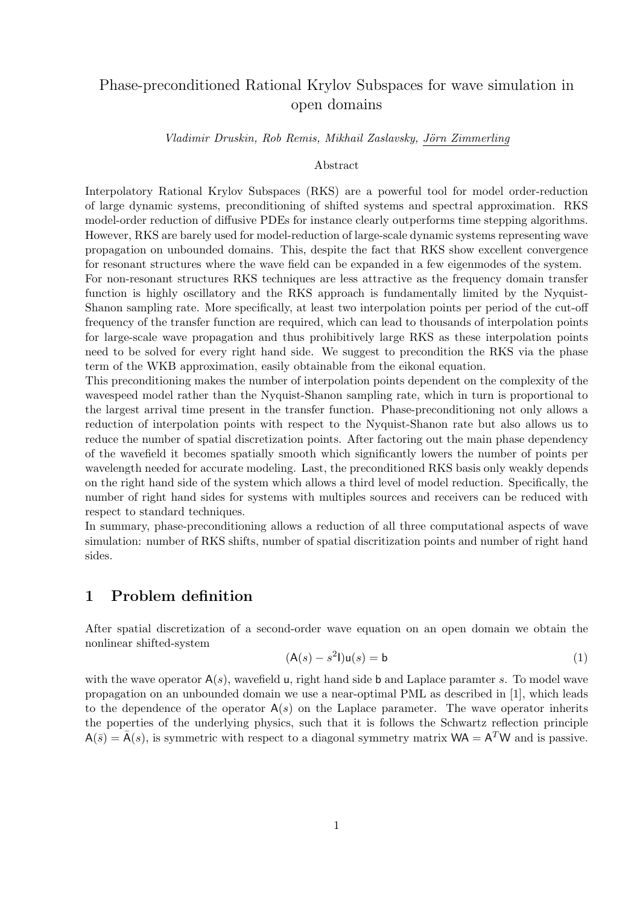# Phase-preconditioned Rational Krylov Subspaces for wave simulation in open domains

Vladimir Druskin, Rob Remis, Mikhail Zaslavsky, Jörn Zimmerling

#### Abstract

Interpolatory Rational Krylov Subspaces (RKS) are a powerful tool for model order-reduction of large dynamic systems, preconditioning of shifted systems and spectral approximation. RKS model-order reduction of diffusive PDEs for instance clearly outperforms time stepping algorithms. However, RKS are barely used for model-reduction of large-scale dynamic systems representing wave propagation on unbounded domains. This, despite the fact that RKS show excellent convergence for resonant structures where the wave field can be expanded in a few eigenmodes of the system.

For non-resonant structures RKS techniques are less attractive as the frequency domain transfer function is highly oscillatory and the RKS approach is fundamentally limited by the Nyquist-Shanon sampling rate. More specifically, at least two interpolation points per period of the cut-off frequency of the transfer function are required, which can lead to thousands of interpolation points for large-scale wave propagation and thus prohibitively large RKS as these interpolation points need to be solved for every right hand side. We suggest to precondition the RKS via the phase term of the WKB approximation, easily obtainable from the eikonal equation.

This preconditioning makes the number of interpolation points dependent on the complexity of the wavespeed model rather than the Nyquist-Shanon sampling rate, which in turn is proportional to the largest arrival time present in the transfer function. Phase-preconditioning not only allows a reduction of interpolation points with respect to the Nyquist-Shanon rate but also allows us to reduce the number of spatial discretization points. After factoring out the main phase dependency of the wavefield it becomes spatially smooth which significantly lowers the number of points per wavelength needed for accurate modeling. Last, the preconditioned RKS basis only weakly depends on the right hand side of the system which allows a third level of model reduction. Specifically, the number of right hand sides for systems with multiples sources and receivers can be reduced with respect to standard techniques.

In summary, phase-preconditioning allows a reduction of all three computational aspects of wave simulation: number of RKS shifts, number of spatial discritization points and number of right hand sides.

## 1 Problem definition

After spatial discretization of a second-order wave equation on an open domain we obtain the nonlinear shifted-system

$$
(\mathsf{A}(s) - s^2 \mathsf{I})\mathsf{u}(s) = \mathsf{b} \tag{1}
$$

with the wave operator  $A(s)$ , wavefield u, right hand side b and Laplace paramter s. To model wave propagation on an unbounded domain we use a near-optimal PML as described in [1], which leads to the dependence of the operator  $A(s)$  on the Laplace parameter. The wave operator inherits the poperties of the underlying physics, such that it is follows the Schwartz reflection principle  $A(\bar{s}) = \bar{A}(s)$ , is symmetric with respect to a diagonal symmetry matrix  $WA = A<sup>T</sup>W$  and is passive.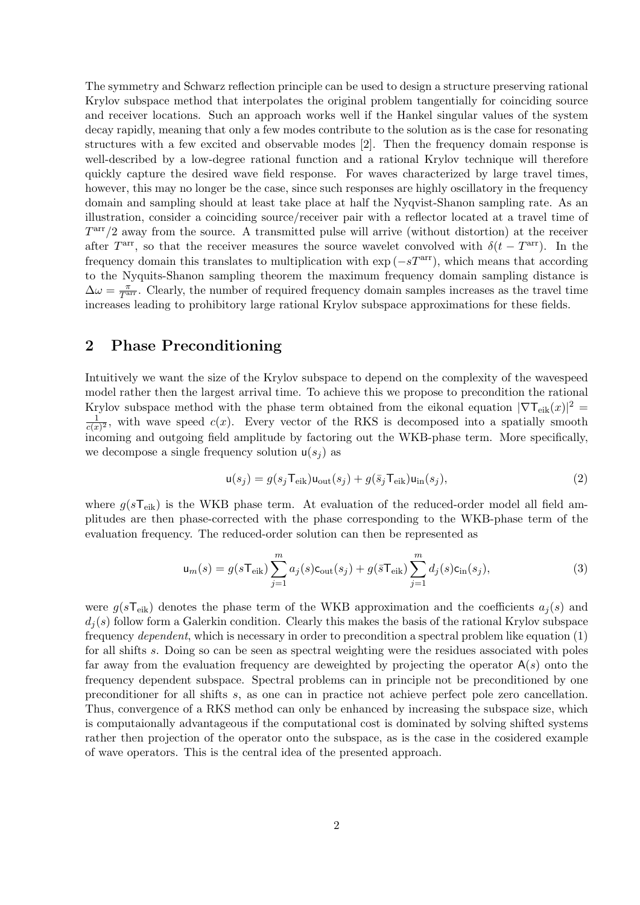The symmetry and Schwarz reflection principle can be used to design a structure preserving rational Krylov subspace method that interpolates the original problem tangentially for coinciding source and receiver locations. Such an approach works well if the Hankel singular values of the system decay rapidly, meaning that only a few modes contribute to the solution as is the case for resonating structures with a few excited and observable modes [2]. Then the frequency domain response is well-described by a low-degree rational function and a rational Krylov technique will therefore quickly capture the desired wave field response. For waves characterized by large travel times, however, this may no longer be the case, since such responses are highly oscillatory in the frequency domain and sampling should at least take place at half the Nyqvist-Shanon sampling rate. As an illustration, consider a coinciding source/receiver pair with a reflector located at a travel time of  $T<sup>arr</sup>/2$  away from the source. A transmitted pulse will arrive (without distortion) at the receiver after  $T<sup>arr</sup>$ , so that the receiver measures the source wavelet convolved with  $\delta(t - T<sup>arr</sup>)$ . In the frequency domain this translates to multiplication with  $\exp(-sT<sup>arr</sup>)$ , which means that according to the Nyquits-Shanon sampling theorem the maximum frequency domain sampling distance is  $\Delta\omega = \frac{\pi}{T^{\text{arr}}}$ . Clearly, the number of required frequency domain samples increases as the travel time increases leading to prohibitory large rational Krylov subspace approximations for these fields.

## 2 Phase Preconditioning

Intuitively we want the size of the Krylov subspace to depend on the complexity of the wavespeed model rather then the largest arrival time. To achieve this we propose to precondition the rational Krylov subspace method with the phase term obtained from the eikonal equation  $|\nabla \mathsf{T}_{eik}(x)|^2 =$ 1  $\frac{1}{c(x)^2}$ , with wave speed  $c(x)$ . Every vector of the RKS is decomposed into a spatially smooth incoming and outgoing field amplitude by factoring out the WKB-phase term. More specifically, we decompose a single frequency solution  $u(s_i)$  as

$$
\mathbf{u}(s_j) = g(s_j \mathbf{T}_{\text{eik}}) \mathbf{u}_{\text{out}}(s_j) + g(\bar{s}_j \mathbf{T}_{\text{eik}}) \mathbf{u}_{\text{in}}(s_j),\tag{2}
$$

where  $g(sT_{\text{eik}})$  is the WKB phase term. At evaluation of the reduced-order model all field amplitudes are then phase-corrected with the phase corresponding to the WKB-phase term of the evaluation frequency. The reduced-order solution can then be represented as

$$
\mathbf{u}_m(s) = g(s\mathsf{T}_{\text{eik}}) \sum_{j=1}^m a_j(s)\mathsf{c}_{\text{out}}(s_j) + g(\bar{s}\mathsf{T}_{\text{eik}}) \sum_{j=1}^m d_j(s)\mathsf{c}_{\text{in}}(s_j),\tag{3}
$$

were  $g(sT_{\text{eik}})$  denotes the phase term of the WKB approximation and the coefficients  $a_i(s)$  and  $d_i(s)$  follow form a Galerkin condition. Clearly this makes the basis of the rational Krylov subspace frequency dependent, which is necessary in order to precondition a spectral problem like equation (1) for all shifts s. Doing so can be seen as spectral weighting were the residues associated with poles far away from the evaluation frequency are deweighted by projecting the operator  $A(s)$  onto the frequency dependent subspace. Spectral problems can in principle not be preconditioned by one preconditioner for all shifts s, as one can in practice not achieve perfect pole zero cancellation. Thus, convergence of a RKS method can only be enhanced by increasing the subspace size, which is computaionally advantageous if the computational cost is dominated by solving shifted systems rather then projection of the operator onto the subspace, as is the case in the cosidered example of wave operators. This is the central idea of the presented approach.